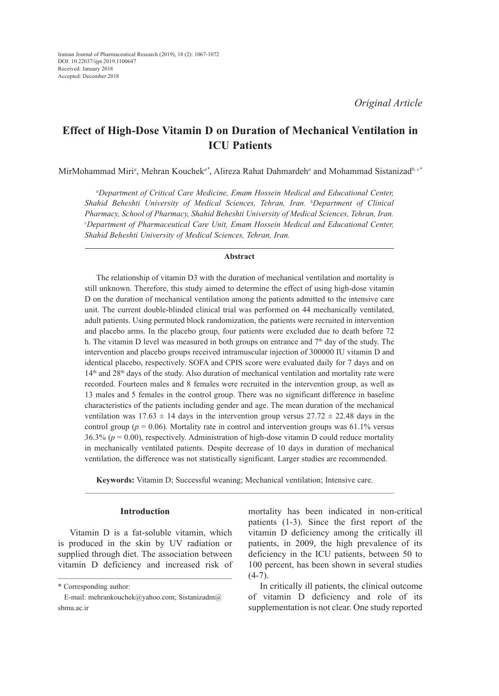# **Effect of High-Dose Vitamin D on Duration of Mechanical Ventilation in ICU Patients**

MirMohammad Miri*<sup>a</sup>* , Mehran Kouchek*a\**, Alireza Rahat Dahmardeh*<sup>a</sup>* and Mohammad Sistanizad*b, c\**

*a Department of Critical Care Medicine, Emam Hossein Medical and Educational Center, Shahid Beheshti University of Medical Sciences, Tehran, Iran. b Department of Clinical*  Pharmacy, School of Pharmacy, Shahid Beheshti University of Medical Sciences, Tehran, Iran. *Department of Pharmaceutical Care Unit, Emam Hossein Medical and Educational Center, Shahid Beheshti University of Medical Sciences, Tehran, Iran.*

#### **Abstract**

The relationship of vitamin D3 with the duration of mechanical ventilation and mortality is still unknown. Therefore, this study aimed to determine the effect of using high-dose vitamin D on the duration of mechanical ventilation among the patients admitted to the intensive care unit. The current double-blinded clinical trial was performed on 44 mechanically ventilated, adult patients. Using permuted block randomization, the patients were recruited in intervention and placebo arms. In the placebo group, four patients were excluded due to death before 72 h. The vitamin D level was measured in both groups on entrance and  $7<sup>th</sup>$  day of the study. The intervention and placebo groups received intramuscular injection of 300000 IU vitamin D and identical placebo, respectively. SOFA and CPIS score were evaluated daily for 7 days and on  $14<sup>th</sup>$  and  $28<sup>th</sup>$  days of the study. Also duration of mechanical ventilation and mortality rate were recorded. Fourteen males and 8 females were recruited in the intervention group, as well as 13 males and 5 females in the control group. There was no significant difference in baseline characteristics of the patients including gender and age. The mean duration of the mechanical ventilation was  $17.63 \pm 14$  days in the intervention group versus  $27.72 \pm 22.48$  days in the control group ( $p = 0.06$ ). Mortality rate in control and intervention groups was 61.1% versus 36.3% ( $p = 0.00$ ), respectively. Administration of high-dose vitamin D could reduce mortality in mechanically ventilated patients. Despite decrease of 10 days in duration of mechanical ventilation, the difference was not statistically significant. Larger studies are recommended.

**Keywords:** Vitamin D; Successful weaning; Mechanical ventilation; Intensive care.

## **Introduction**

Vitamin D is a fat-soluble vitamin, which is produced in the skin by UV radiation or supplied through diet. The association between vitamin D deficiency and increased risk of mortality has been indicated in non-critical patients (1-3). Since the first report of the vitamin D deficiency among the critically ill patients, in 2009, the high prevalence of its deficiency in the ICU patients, between 50 to 100 percent, has been shown in several studies  $(4-7)$ .

In critically ill patients, the clinical outcome of vitamin D deficiency and role of its supplementation is not clear. One study reported

<sup>\*</sup> Corresponding author:

E-mail: mehrankouchek@yahoo.com; Sistanizadm@ sbmu.ac.ir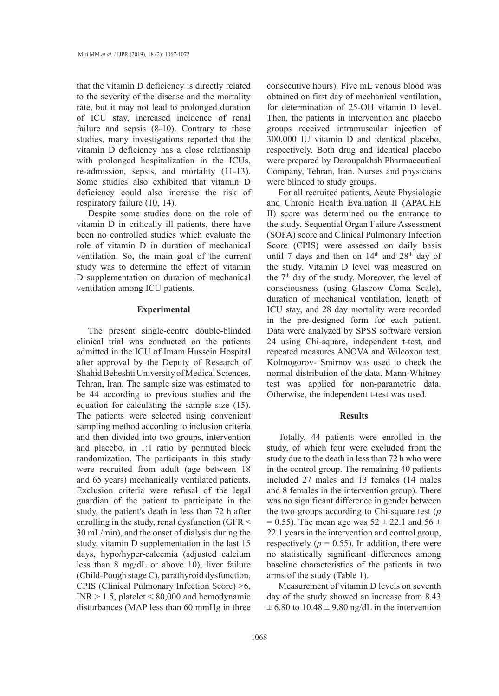that the vitamin D deficiency is directly related to the severity of the disease and the mortality rate, but it may not lead to prolonged duration of ICU stay, increased incidence of renal failure and sepsis (8-10). Contrary to these studies, many investigations reported that the vitamin D deficiency has a close relationship with prolonged hospitalization in the ICUs, re-admission, sepsis, and mortality (11-13). Some studies also exhibited that vitamin D deficiency could also increase the risk of respiratory failure (10, 14).

Despite some studies done on the role of vitamin D in critically ill patients, there have been no controlled studies which evaluate the role of vitamin D in duration of mechanical ventilation. So, the main goal of the current study was to determine the effect of vitamin D supplementation on duration of mechanical ventilation among ICU patients.

### **Experimental**

The present single-centre double-blinded clinical trial was conducted on the patients admitted in the ICU of Imam Hussein Hospital after approval by the Deputy of Research of Shahid Beheshti University of Medical Sciences, Tehran, Iran. The sample size was estimated to be 44 according to previous studies and the equation for calculating the sample size (15). The patients were selected using convenient sampling method according to inclusion criteria and then divided into two groups, intervention and placebo, in 1:1 ratio by permuted block randomization. The participants in this study were recruited from adult (age between 18 and 65 years) mechanically ventilated patients. Exclusion criteria were refusal of the legal guardian of the patient to participate in the study, the patient′s death in less than 72 h after enrolling in the study, renal dysfunction (GFR < 30 mL/min), and the onset of dialysis during the study, vitamin D supplementation in the last 15 days, hypo/hyper-calcemia (adjusted calcium less than 8 mg/dL or above 10), liver failure (Child-Pough stage C), parathyroid dysfunction, CPIS (Clinical Pulmonary Infection Score) >6,  $INR > 1.5$ , platelet  $\leq 80,000$  and hemodynamic disturbances (MAP less than 60 mmHg in three

consecutive hours). Five mL venous blood was obtained on first day of mechanical ventilation, for determination of 25-OH vitamin D level. Then, the patients in intervention and placebo groups received intramuscular injection of 300,000 IU vitamin D and identical placebo, respectively. Both drug and identical placebo were prepared by Daroupakhsh Pharmaceutical Company, Tehran, Iran. Nurses and physicians were blinded to study groups.

For all recruited patients, Acute Physiologic and Chronic Health Evaluation II (APACHE II) score was determined on the entrance to the study. Sequential Organ Failure Assessment (SOFA) score and Clinical Pulmonary Infection Score (CPIS) were assessed on daily basis until 7 days and then on  $14<sup>th</sup>$  and  $28<sup>th</sup>$  day of the study. Vitamin D level was measured on the 7<sup>th</sup> day of the study. Moreover, the level of consciousness (using Glascow Coma Scale), duration of mechanical ventilation, length of ICU stay, and 28 day mortality were recorded in the pre-designed form for each patient. Data were analyzed by SPSS software version 24 using Chi-square, independent t-test, and repeated measures ANOVA and Wilcoxon test. Kolmogorov- Smirnov was used to check the normal distribution of the data. Mann-Whitney test was applied for non-parametric data. Otherwise, the independent t-test was used.

## **Results**

Totally, 44 patients were enrolled in the study, of which four were excluded from the study due to the death in less than 72 h who were in the control group. The remaining 40 patients included 27 males and 13 females (14 males and 8 females in the intervention group). There was no significant difference in gender between the two groups according to Chi-square test (*p*  $= 0.55$ ). The mean age was  $52 \pm 22.1$  and  $56 \pm 1$ 22.1 years in the intervention and control group, respectively ( $p = 0.55$ ). In addition, there were no statistically significant differences among baseline characteristics of the patients in two arms of the study (Table 1).

Measurement of vitamin D levels on seventh day of the study showed an increase from 8.43  $\pm$  6.80 to 10.48  $\pm$  9.80 ng/dL in the intervention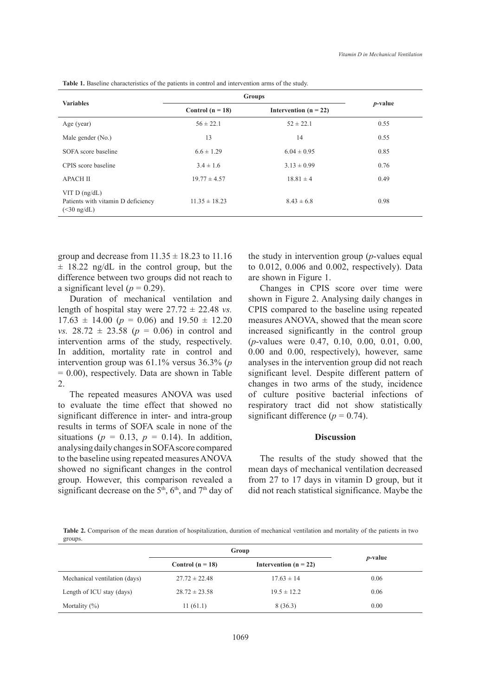| <b>Variables</b>                                                       | <b>Groups</b>      |                         |            |
|------------------------------------------------------------------------|--------------------|-------------------------|------------|
|                                                                        | Control $(n = 18)$ | Intervention $(n = 22)$ | $p$ -value |
| Age (year)                                                             | $56 \pm 22.1$      | $52 \pm 22.1$           | 0.55       |
| Male gender (No.)                                                      | 13                 | 14                      | 0.55       |
| SOFA score baseline                                                    | $6.6 \pm 1.29$     | $6.04 \pm 0.95$         | 0.85       |
| CPIS score baseline                                                    | $3.4 \pm 1.6$      | $3.13 \pm 0.99$         | 0.76       |
| <b>APACH II</b>                                                        | $19.77 \pm 4.57$   | $18.81 \pm 4$           | 0.49       |
| VIT $D$ (ng/dL)<br>Patients with vitamin D deficiency<br>$(<30$ ng/dL) | $11.35 \pm 18.23$  | $8.43 \pm 6.8$          | 0.98       |

group and decrease from  $11.35 \pm 18.23$  to  $11.16$  $\pm$  18.22 ng/dL in the control group, but the difference between two groups did not reach to a significant level ( $p = 0.29$ ).

Duration of mechanical ventilation and length of hospital stay were  $27.72 \pm 22.48$  *vs.*  $17.63 \pm 14.00$  ( $p = 0.06$ ) and  $19.50 \pm 12.20$ *vs.*  $28.72 \pm 23.58$  ( $p = 0.06$ ) in control and intervention arms of the study, respectively. In addition, mortality rate in control and intervention group was 61.1% versus 36.3% (*p* = 0.00), respectively. Data are shown in Table 2.

The repeated measures ANOVA was used to evaluate the time effect that showed no significant difference in inter- and intra-group results in terms of SOFA scale in none of the situations ( $p = 0.13$ ,  $p = 0.14$ ). In addition, analysing daily changes in SOFA score compared to the baseline using repeated measures ANOVA showed no significant changes in the control group. However, this comparison revealed a significant decrease on the 5<sup>th</sup>, 6<sup>th</sup>, and 7<sup>th</sup> day of the study in intervention group (*p*-values equal to 0.012, 0.006 and 0.002, respectively). Data are shown in Figure 1.

Changes in CPIS score over time were shown in Figure 2. Analysing daily changes in CPIS compared to the baseline using repeated measures ANOVA, showed that the mean score increased significantly in the control group (*p*-values were 0.47, 0.10, 0.00, 0.01, 0.00, 0.00 and 0.00, respectively), however, same analyses in the intervention group did not reach significant level. Despite different pattern of changes in two arms of the study, incidence of culture positive bacterial infections of respiratory tract did not show statistically significant difference  $(p = 0.74)$ .

## **Discussion**

The results of the study showed that the mean days of mechanical ventilation decreased from 27 to 17 days in vitamin D group, but it did not reach statistical significance. Maybe the

**Table 2.** Comparison of the mean duration of hospitalization, duration of mechanical ventilation and mortality of the patients in two groups.

|                               | Group              |                         |                 |
|-------------------------------|--------------------|-------------------------|-----------------|
|                               | Control $(n = 18)$ | Intervention $(n = 22)$ | <i>p</i> -value |
| Mechanical ventilation (days) | $27.72 \pm 22.48$  | $17.63 \pm 14$          | 0.06            |
| Length of ICU stay (days)     | $28.72 \pm 23.58$  | $19.5 \pm 12.2$         | 0.06            |
| Mortality $(\%)$              | 11(61.1)           | 8(36.3)                 | 0.00            |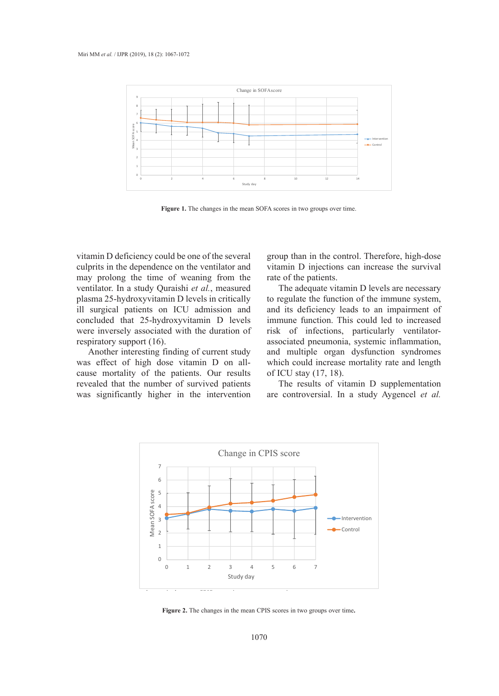

Figure 1. The changes in the mean SOFA scores in two groups over time.

vitamin D deficiency could be one of the several culprits in the dependence on the ventilator and may prolong the time of weaning from the ventilator. In a study Quraishi *et al.*, measured plasma 25-hydroxyvitamin D levels in critically ill surgical patients on ICU admission and concluded that 25-hydroxyvitamin D levels were inversely associated with the duration of respiratory support (16).

Another interesting finding of current study was effect of high dose vitamin D on allcause mortality of the patients. Our results revealed that the number of survived patients was significantly higher in the intervention group than in the control. Therefore, high-dose vitamin D injections can increase the survival rate of the patients.

The adequate vitamin D levels are necessary to regulate the function of the immune system, and its deficiency leads to an impairment of immune function. This could led to increased risk of infections, particularly ventilatorassociated pneumonia, systemic inflammation, and multiple organ dysfunction syndromes which could increase mortality rate and length of ICU stay (17, 18).

The results of vitamin D supplementation are controversial. In a study Aygencel *et al.*



**Figure 2.** The changes in the mean CPIS scores in two groups over time**.**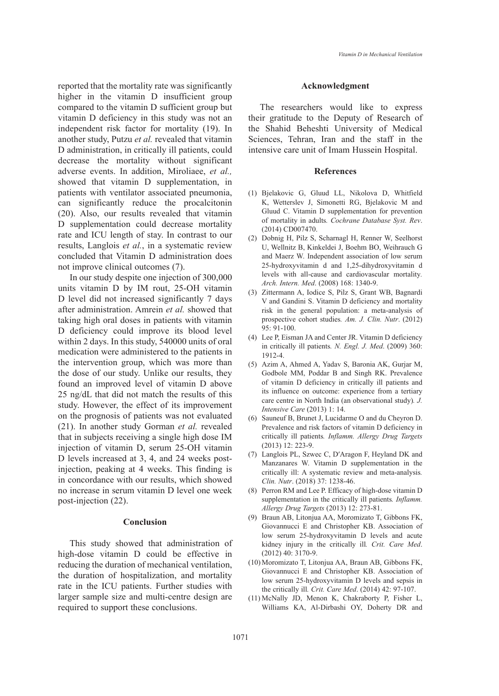reported that the mortality rate was significantly higher in the vitamin D insufficient group compared to the vitamin D sufficient group but vitamin D deficiency in this study was not an independent risk factor for mortality (19). In another study, Putzu *et al.* revealed that vitamin D administration, in critically ill patients, could decrease the mortality without significant adverse events. In addition, Miroliaee, *et al.,*  showed that vitamin D supplementation, in patients with ventilator associated pneumonia, can significantly reduce the procalcitonin (20). Also, our results revealed that vitamin D supplementation could decrease mortality rate and ICU length of stay. In contrast to our results, Langlois *et al.*, in a systematic review concluded that Vitamin D administration does not improve clinical outcomes (7).

In our study despite one injection of 300,000 units vitamin D by IM rout, 25-OH vitamin D level did not increased significantly 7 days after administration. Amrein *et al.* showed that taking high oral doses in patients with vitamin D deficiency could improve its blood level within 2 days. In this study, 540000 units of oral medication were administered to the patients in the intervention group, which was more than the dose of our study. Unlike our results, they found an improved level of vitamin D above 25 ng/dL that did not match the results of this study. However, the effect of its improvement on the prognosis of patients was not evaluated (21). In another study Gorman *et al.* revealed that in subjects receiving a single high dose IM injection of vitamin D, serum 25-OH vitamin D levels increased at 3, 4, and 24 weeks postinjection, peaking at 4 weeks. This finding is in concordance with our results, which showed no increase in serum vitamin D level one week post-injection (22).

# **Conclusion**

This study showed that administration of high-dose vitamin D could be effective in reducing the duration of mechanical ventilation, the duration of hospitalization, and mortality rate in the ICU patients. Further studies with larger sample size and multi-centre design are required to support these conclusions.

#### **Acknowledgment**

The researchers would like to express their gratitude to the Deputy of Research of the Shahid Beheshti University of Medical Sciences, Tehran, Iran and the staff in the intensive care unit of Imam Hussein Hospital.

#### **References**

- Bjelakovic G, Gluud LL, Nikolova D, Whitfield (1) K, Wetterslev J, Simonetti RG, Bjelakovic M and Gluud C. Vitamin D supplementation for prevention of mortality in adults*. Cochrane Database Syst. Rev*. (2014) CD007470.
- (2) Dobnig H, Pilz S, Scharnagl H, Renner W, Seelhorst U, Wellnitz B, Kinkeldei J, Boehm BO, Weihrauch G and Maerz W. Independent association of low serum 25-hydroxyvitamin d and 1,25-dihydroxyvitamin d levels with all-cause and cardiovascular mortality*. Arch. Intern. Med*. (2008) 168: 1340-9.
- (3) Zittermann A, Iodice S, Pilz S, Grant WB, Bagnardi V and Gandini S. Vitamin D deficiency and mortality risk in the general population: a meta-analysis of prospective cohort studies*. Am. J. Clin. Nutr*. (2012) 95: 91-100.
- Lee P, Eisman JA and Center JR. Vitamin D deficiency (4) in critically ill patients*. N. Engl. J. Med*. (2009) 360: 1912-4.
- (5) Azim A, Ahmed A, Yadav S, Baronia AK, Gurjar M, Godbole MM, Poddar B and Singh RK. Prevalence of vitamin D deficiency in critically ill patients and its influence on outcome: experience from a tertiary care centre in North India (an observational study)*. J. Intensive Care* (2013) 1: 14.
- (6) Sauneuf B, Brunet J, Lucidarme O and du Cheyron D. Prevalence and risk factors of vitamin D deficiency in critically ill patients*. Inflamm. Allergy Drug Targets* (2013) 12: 223-9.
- Langlois PL, Szwec C, D′Aragon F, Heyland DK and (7) Manzanares W. Vitamin D supplementation in the critically ill: A systematic review and meta-analysis*. Clin. Nutr*. (2018) 37: 1238-46.
- Perron RM and Lee P. Efficacy of high-dose vitamin D (8) supplementation in the critically ill patients*. Inflamm. Allergy Drug Targets* (2013) 12: 273-81.
- Braun AB, Litonjua AA, Moromizato T, Gibbons FK, (9) Giovannucci E and Christopher KB. Association of low serum 25-hydroxyvitamin D levels and acute kidney injury in the critically ill*. Crit. Care Med*. (2012) 40: 3170-9.
- (10) Moromizato T, Litonjua AA, Braun AB, Gibbons FK, Giovannucci E and Christopher KB. Association of low serum 25-hydroxyvitamin D levels and sepsis in the critically ill*. Crit. Care Med*. (2014) 42: 97-107.
- (11) McNally JD, Menon K, Chakraborty P, Fisher L, Williams KA, Al-Dirbashi OY, Doherty DR and